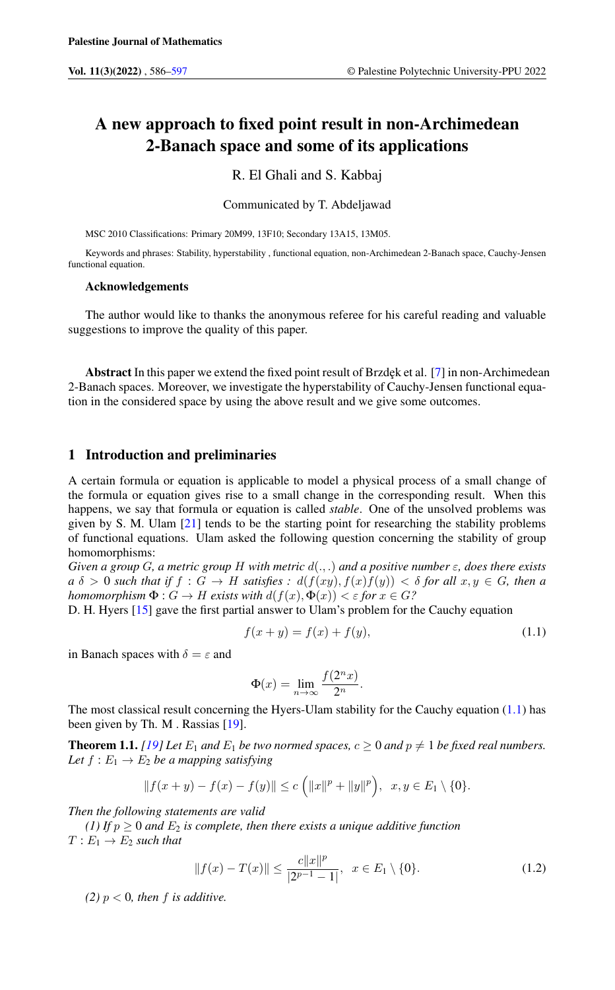# A new approach to fixed point result in non-Archimedean 2-Banach space and some of its applications

R. El Ghali and S. Kabbaj

Communicated by T. Abdeljawad

MSC 2010 Classifications: Primary 20M99, 13F10; Secondary 13A15, 13M05.

Keywords and phrases: Stability, hyperstability , functional equation, non-Archimedean 2-Banach space, Cauchy-Jensen functional equation.

#### Acknowledgements

The author would like to thanks the anonymous referee for his careful reading and valuable suggestions to improve the quality of this paper.

Abstract In this paper we extend the fixed point result of Brzdek et al. [\[7\]](#page-10-1) in non-Archimedean 2-Banach spaces. Moreover, we investigate the hyperstability of Cauchy-Jensen functional equation in the considered space by using the above result and we give some outcomes.

#### 1 Introduction and preliminaries

A certain formula or equation is applicable to model a physical process of a small change of the formula or equation gives rise to a small change in the corresponding result. When this happens, we say that formula or equation is called *stable*. One of the unsolved problems was given by S. M. Ulam  $[21]$  tends to be the starting point for researching the stability problems of functional equations. Ulam asked the following question concerning the stability of group homomorphisms:

*Given a group G, a metric group H* with metric  $d(.,.)$  *and a positive number*  $\varepsilon$ *, does there exists*  $a \delta > 0$  *such that if*  $f : G \to H$  *satisfies* :  $d(f(xy), f(x)f(y)) < \delta$  for all  $x, y \in G$ , then a *homomorphism*  $\Phi: G \to H$  *exists with*  $d(f(x), \Phi(x)) < \varepsilon$  *for*  $x \in G$ ?

D. H. Hyers [\[15\]](#page-10-2) gave the first partial answer to Ulam's problem for the Cauchy equation

$$
f(x + y) = f(x) + f(y),
$$
\n(1.1)

in Banach spaces with  $\delta = \varepsilon$  and

<span id="page-0-0"></span>
$$
\Phi(x) = \lim_{n \to \infty} \frac{f(2^n x)}{2^n}.
$$

The most classical result concerning the Hyers-Ulam stability for the Cauchy equation  $(1.1)$  has been given by Th. M . Rassias [\[19\]](#page-11-1).

<span id="page-0-1"></span>**Theorem 1.1.** *[\[19\]](#page-11-1)* Let  $E_1$  *and*  $E_1$  *be two normed spaces,*  $c > 0$  *and*  $p \neq 1$  *be fixed real numbers.* Let  $f: E_1 \to E_2$  be a mapping satisfying

$$
|| f(x + y) - f(x) - f(y)|| \le c \left( ||x||^p + ||y||^p \right), \ \ x, y \in E_1 \setminus \{0\}.
$$

*Then the following statements are valid*

*(1) If*  $p \ge 0$  *and*  $E_2$  *is complete, then there exists a unique additive function*  $T: E_1 \rightarrow E_2$  *such that* 

$$
||f(x) - T(x)|| \le \frac{c||x||^p}{|2^{p-1} - 1|}, \ \ x \in E_1 \setminus \{0\}.
$$
 (1.2)

*(2)*  $p < 0$ *, then*  $f$  *is additive.*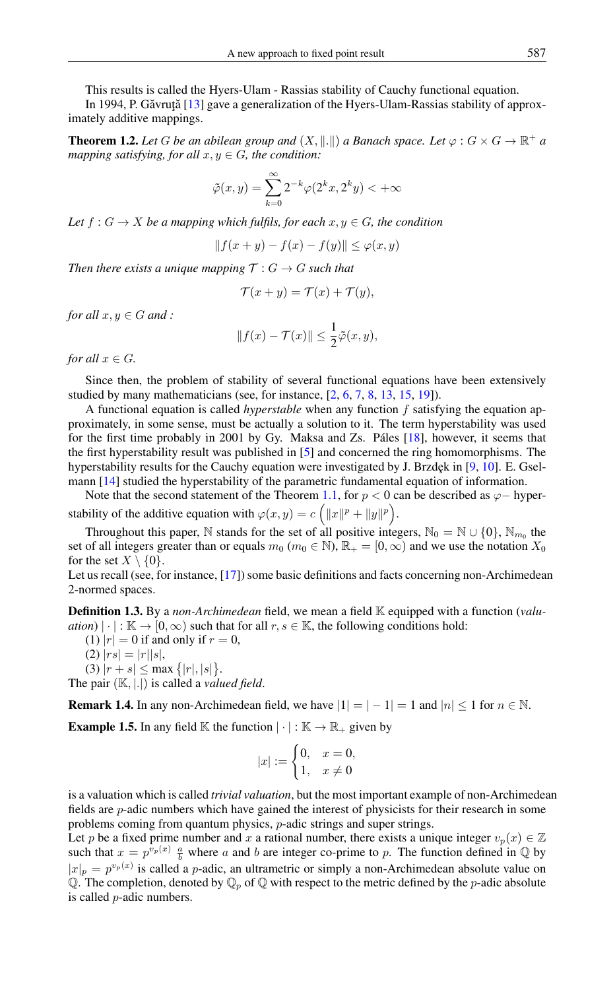This results is called the Hyers-Ulam - Rassias stability of Cauchy functional equation.

In 1994, P. Găvruță  $[13]$  $[13]$  gave a generalization of the Hyers-Ulam-Rassias stability of approximately additive mappings.

**Theorem 1.2.** Let G be an abilean group and  $(X, \|\cdot\|)$  a Banach space. Let  $\varphi : G \times G \to \mathbb{R}^+$  a *mapping satisfying, for all*  $x, y \in G$ *, the condition:* 

$$
\tilde{\varphi}(x,y) = \sum_{k=0}^{\infty} 2^{-k} \varphi(2^k x, 2^k y) < +\infty
$$

*Let*  $f: G \to X$  *be a mapping which fulfils, for each*  $x, y \in G$ *, the condition* 

$$
|| f(x + y) - f(x) - f(y)|| \le \varphi(x, y)
$$

*Then there exists a unique mapping*  $\mathcal{T}: G \to G$  *such that* 

$$
\mathcal{T}(x+y) = \mathcal{T}(x) + \mathcal{T}(y),
$$

*for all*  $x, y \in G$  *and* :

$$
||f(x) - \mathcal{T}(x)|| \leq \frac{1}{2}\tilde{\varphi}(x, y),
$$

*for all*  $x \in G$ *.* 

Since then, the problem of stability of several functional equations have been extensively studied by many mathematicians (see, for instance, [\[2,](#page-10-4) [6,](#page-10-5) [7,](#page-10-1) [8,](#page-10-6) [13,](#page-10-3) [15,](#page-10-2) [19\]](#page-11-1)).

A functional equation is called *hyperstable* when any function f satisfying the equation approximately, in some sense, must be actually a solution to it. The term hyperstability was used for the first time probably in 2001 by Gy. Maksa and Zs. Páles [\[18\]](#page-11-2), however, it seems that the first hyperstability result was published in [\[5\]](#page-10-7) and concerned the ring homomorphisms. The hyperstability results for the Cauchy equation were investigated by J. Brzdęk in  $[9, 10]$  $[9, 10]$  $[9, 10]$ . E. Gselmann [\[14\]](#page-10-10) studied the hyperstability of the parametric fundamental equation of information.

Note that the second statement of the Theorem [1.1,](#page-0-1) for  $p < 0$  can be described as  $\varphi$ − hyperstability of the additive equation with  $\varphi(x, y) = c \left( ||x||^p + ||y||^p \right)$ .

Throughout this paper, N stands for the set of all positive integers,  $\mathbb{N}_0 = \mathbb{N} \cup \{0\}$ ,  $\mathbb{N}_{m_0}$  the set of all integers greater than or equals  $m_0$  ( $m_0 \in \mathbb{N}$ ),  $\mathbb{R}_+ = [0, \infty)$  and we use the notation  $X_0$ for the set  $X \setminus \{0\}$ .

Let us recall (see, for instance, [\[17\]](#page-10-11)) some basic definitions and facts concerning non-Archimedean 2-normed spaces.

Definition 1.3. By a *non-Archimedean* field, we mean a field K equipped with a function (*valuation*)  $|\cdot|: \mathbb{K} \to [0, \infty)$  such that for all  $r, s \in \mathbb{K}$ , the following conditions hold:

- (1)  $|r| = 0$  if and only if  $r = 0$ ,
- (2)  $|rs| = |r||s|$ ,
- (3)  $|r + s| \leq \max\{|r|, |s|\}.$

The pair (K, |.|) is called a *valued field*.

**Remark 1.4.** In any non-Archimedean field, we have  $|1| = |-1| = 1$  and  $|n| \le 1$  for  $n \in \mathbb{N}$ .

**Example 1.5.** In any field K the function  $|\cdot| : \mathbb{K} \to \mathbb{R}_+$  given by

$$
|x| := \begin{cases} 0, & x = 0, \\ 1, & x \neq 0 \end{cases}
$$

is a valuation which is called *trivial valuation*, but the most important example of non-Archimedean fields are p-adic numbers which have gained the interest of physicists for their research in some problems coming from quantum physics, p-adic strings and super strings.

Let p be a fixed prime number and x a rational number, there exists a unique integer  $v_p(x) \in \mathbb{Z}$ such that  $x = p^{v_p(x)} \frac{a}{b}$  where a and b are integer co-prime to p. The function defined in  $\mathbb Q$  by  $|x|_p = p^{v_p(x)}$  is called a *p*-adic, an ultrametric or simply a non-Archimedean absolute value on Q. The completion, denoted by  $\mathbb{Q}_p$  of  $\mathbb Q$  with respect to the metric defined by the *p*-adic absolute is called p-adic numbers.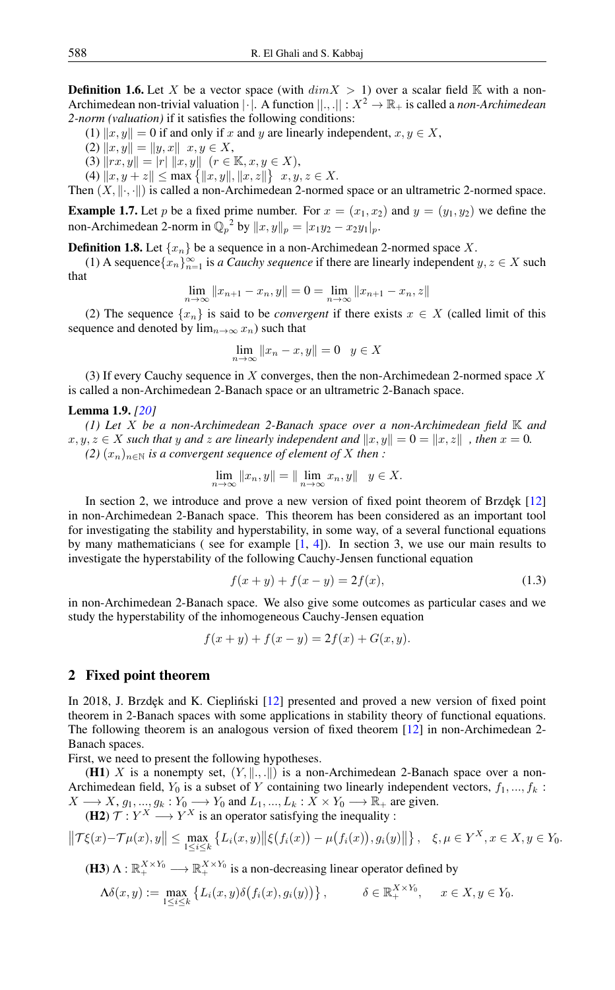**Definition 1.6.** Let X be a vector space (with  $dim X > 1$ ) over a scalar field K with a non-Archimedean non-trivial valuation  $|\cdot|$ . A function  $||...||: X^2 \to \mathbb{R}_+$  is called a *non-Archimedean 2-norm (valuation)* if it satisfies the following conditions:

(1)  $||x, y|| = 0$  if and only if x and y are linearly independent,  $x, y \in X$ ,

$$
(2) \|x, y\| = \|y, x\| \ x, y \in X,
$$

(3)  $\|rx, y\| = |r| \|x, y\| \quad (r \in \mathbb{K}, x, y \in X),$ 

(4)  $||x, y + z|| \le \max\{||x, y||, ||x, z||\}$   $x, y, z \in X$ .

Then  $(X, \|\cdot, \cdot\|)$  is called a non-Archimedean 2-normed space or an ultrametric 2-normed space.

**Example 1.7.** Let p be a fixed prime number. For  $x = (x_1, x_2)$  and  $y = (y_1, y_2)$  we define the non-Archimedean 2-norm in  $\mathbb{Q}_p^2$  by  $||x, y||_p = |x_1y_2 - x_2y_1|_p$ .

**Definition 1.8.** Let  $\{x_n\}$  be a sequence in a non-Archimedean 2-normed space X.

(1) A sequence  $\{x_n\}_{n=1}^{\infty}$  is *a Cauchy sequence* if there are linearly independent  $y, z \in X$  such that

$$
\lim_{n \to \infty} ||x_{n+1} - x_n, y|| = 0 = \lim_{n \to \infty} ||x_{n+1} - x_n, z||
$$

(2) The sequence  $\{x_n\}$  is said to be *convergent* if there exists  $x \in X$  (called limit of this sequence and denoted by  $\lim_{n\to\infty} x_n$ ) such that

$$
\lim_{n \to \infty} ||x_n - x, y|| = 0 \quad y \in X
$$

(3) If every Cauchy sequence in  $X$  converges, then the non-Archimedean 2-normed space  $X$ is called a non-Archimedean 2-Banach space or an ultrametric 2-Banach space.

#### Lemma 1.9. *[\[20\]](#page-11-3)*

*(1) Let* X *be a non-Archimedean 2-Banach space over a non-Archimedean field* K *and*  $x, y, z \in X$  *such that* y and z are linearly independent and  $||x, y|| = 0 = ||x, z||$ , then  $x = 0$ . *(2)*  $(x_n)_{n \in \mathbb{N}}$  *is a convergent sequence of element of* X *then* :

$$
\lim_{n \to \infty} ||x_n, y|| = ||\lim_{n \to \infty} x_n, y|| \quad y \in X.
$$

In section 2, we introduce and prove a new version of fixed point theorem of Brzdęk  $[12]$ in non-Archimedean 2-Banach space. This theorem has been considered as an important tool for investigating the stability and hyperstability, in some way, of a several functional equations by many mathematicians ( see for example [\[1,](#page-10-13) [4\]](#page-10-14)). In section 3, we use our main results to investigate the hyperstability of the following Cauchy-Jensen functional equation

<span id="page-2-0"></span>
$$
f(x + y) + f(x - y) = 2f(x),
$$
\n(1.3)

in non-Archimedean 2-Banach space. We also give some outcomes as particular cases and we study the hyperstability of the inhomogeneous Cauchy-Jensen equation

$$
f(x + y) + f(x - y) = 2f(x) + G(x, y).
$$

#### 2 Fixed point theorem

In 2018, J. Brzdęk and K. Ciepliński [[12\]](#page-10-12) presented and proved a new version of fixed point theorem in 2-Banach spaces with some applications in stability theory of functional equations. The following theorem is an analogous version of fixed theorem [\[12\]](#page-10-12) in non-Archimedean 2- Banach spaces.

First, we need to present the following hypotheses.

(H1) X is a nonempty set,  $(Y, \|\cdot, \cdot\|)$  is a non-Archimedean 2-Banach space over a non-Archimedean field,  $Y_0$  is a subset of Y containing two linearly independent vectors,  $f_1, ..., f_k$ :  $X \longrightarrow X$ ,  $g_1, ..., g_k : Y_0 \longrightarrow Y_0$  and  $L_1, ..., L_k : X \times Y_0 \longrightarrow \mathbb{R}_+$  are given.

(H2)  $\mathcal{T}: Y^X \longrightarrow Y^X$  is an operator satisfying the inequality :

$$
\|\mathcal{T}\xi(x)-\mathcal{T}\mu(x),y\| \leq \max_{1 \leq i \leq k} \left\{ L_i(x,y) \|\xi(f_i(x)) - \mu(f_i(x)),g_i(y)\|\right\}, \quad \xi, \mu \in Y^X, x \in X, y \in Y_0.
$$

**(H3)** 
$$
\Lambda : \mathbb{R}_+^{X \times Y_0} \longrightarrow \mathbb{R}_+^{X \times Y_0}
$$
 is a non-decreasing linear operator defined by

$$
\Lambda \delta(x, y) := \max_{1 \le i \le k} \left\{ L_i(x, y) \delta(f_i(x), g_i(y)) \right\}, \qquad \delta \in \mathbb{R}_+^{X \times Y_0}, \quad x \in X, y \in Y_0.
$$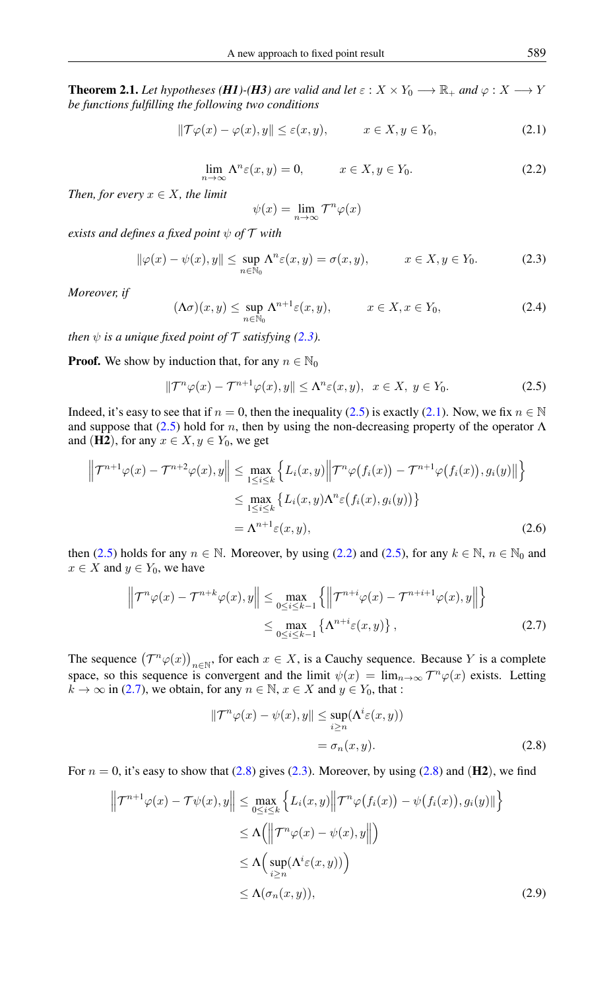<span id="page-3-8"></span>**Theorem 2.1.** Let hypotheses (*H1*)-(*H3*) are valid and let  $\varepsilon$  :  $X \times Y_0 \longrightarrow \mathbb{R}_+$  and  $\varphi$  :  $X \longrightarrow Y$ *be functions fulfilling the following two conditions*

$$
\|\mathcal{T}\varphi(x) - \varphi(x), y\| \le \varepsilon(x, y), \qquad x \in X, y \in Y_0,
$$
\n(2.1)

$$
\lim_{n \to \infty} \Lambda^n \varepsilon(x, y) = 0, \qquad x \in X, y \in Y_0.
$$
\n(2.2)

<span id="page-3-3"></span>*Then, for every*  $x \in X$ *, the limit* 

<span id="page-3-2"></span><span id="page-3-0"></span>
$$
\psi(x) = \lim_{n \to \infty} \mathcal{T}^n \varphi(x)
$$

*exists and defines a fixed point* ψ *of* T *with*

<span id="page-3-7"></span>
$$
\|\varphi(x) - \psi(x), y\| \le \sup_{n \in \mathbb{N}_0} \Lambda^n \varepsilon(x, y) = \sigma(x, y), \qquad x \in X, y \in Y_0.
$$
 (2.3)

*Moreover, if*

<span id="page-3-1"></span>
$$
(\Lambda \sigma)(x, y) \le \sup_{n \in \mathbb{N}_0} \Lambda^{n+1} \varepsilon(x, y), \qquad x \in X, x \in Y_0,
$$
\n(2.4)

*then*  $\psi$  *is a unique fixed point of*  $\mathcal T$  *satisfying [\(2.3\)](#page-3-0).* 

**Proof.** We show by induction that, for any  $n \in \mathbb{N}_0$ 

$$
\|\mathcal{T}^n\varphi(x) - \mathcal{T}^{n+1}\varphi(x), y\| \le \Lambda^n \varepsilon(x, y), \ \ x \in X, \ y \in Y_0. \tag{2.5}
$$

Indeed, it's easy to see that if  $n = 0$ , then the inequality [\(2.5\)](#page-3-1) is exactly [\(2.1\)](#page-3-2). Now, we fix  $n \in \mathbb{N}$ and suppose that [\(2.5\)](#page-3-1) hold for n, then by using the non-decreasing property of the operator  $\Lambda$ and (H2), for any  $x \in X, y \in Y_0$ , we get

$$
\left\| \mathcal{T}^{n+1} \varphi(x) - \mathcal{T}^{n+2} \varphi(x), y \right\| \leq \max_{1 \leq i \leq k} \left\{ L_i(x, y) \middle\| \mathcal{T}^n \varphi(f_i(x)) - \mathcal{T}^{n+1} \varphi(f_i(x)), g_i(y) \right\} \leq \max_{1 \leq i \leq k} \left\{ L_i(x, y) \Lambda^n \varepsilon(f_i(x), g_i(y)) \right\} = \Lambda^{n+1} \varepsilon(x, y),
$$
\n(2.6)

then [\(2.5\)](#page-3-1) holds for any  $n \in \mathbb{N}$ . Moreover, by using [\(2.2\)](#page-3-3) and (2.5), for any  $k \in \mathbb{N}$ ,  $n \in \mathbb{N}_0$  and  $x \in X$  and  $y \in Y_0$ , we have

$$
\left\| \mathcal{T}^n \varphi(x) - \mathcal{T}^{n+k} \varphi(x), y \right\| \le \max_{0 \le i \le k-1} \left\{ \left\| \mathcal{T}^{n+i} \varphi(x) - \mathcal{T}^{n+i+1} \varphi(x), y \right\| \right\}
$$
  

$$
\le \max_{0 \le i \le k-1} \left\{ \Lambda^{n+i} \varepsilon(x, y) \right\},
$$
 (2.7)

The sequence  $(T^n\varphi(x))_{n\in\mathbb{N}}$ , for each  $x \in X$ , is a Cauchy sequence. Because Y is a complete space, so this sequence is convergent and the limit  $\psi(x) = \lim_{n \to \infty} T^n \varphi(x)$  exists. Letting  $k \to \infty$  in [\(2.7\)](#page-3-4), we obtain, for any  $n \in \mathbb{N}$ ,  $x \in X$  and  $y \in Y_0$ , that :

<span id="page-3-6"></span><span id="page-3-5"></span><span id="page-3-4"></span>
$$
\|\mathcal{T}^n\varphi(x) - \psi(x), y\| \le \sup_{i \ge n} (\Lambda^i \varepsilon(x, y))
$$
  
=  $\sigma_n(x, y).$  (2.8)

For  $n = 0$ , it's easy to show that [\(2.8\)](#page-3-5) gives [\(2.3\)](#page-3-0). Moreover, by using (2.8) and ( $\mathbf{H2}$ ), we find

$$
\left\| \mathcal{T}^{n+1} \varphi(x) - \mathcal{T} \psi(x), y \right\| \leq \max_{0 \leq i \leq k} \left\{ L_i(x, y) \middle\| \mathcal{T}^n \varphi(f_i(x)) - \psi(f_i(x)), g_i(y) \right\} \n\leq \Lambda \Big( \left\| \mathcal{T}^n \varphi(x) - \psi(x), y \right\| \Big) \n\leq \Lambda \Big( \sup_{i \geq n} (\Lambda^i \varepsilon(x, y)) \Big) \n\leq \Lambda(\sigma_n(x, y)),
$$
\n(2.9)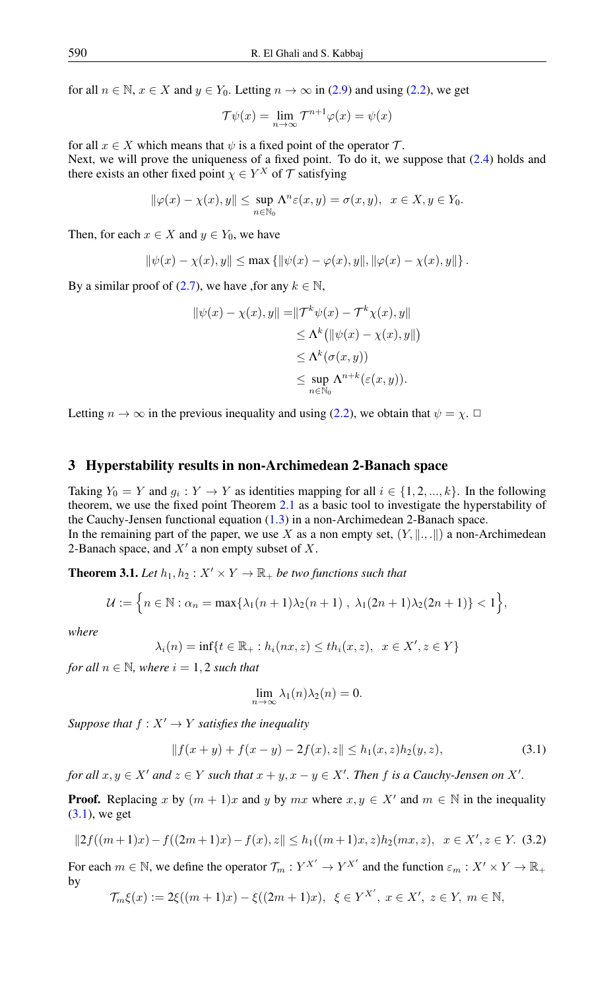for all  $n \in \mathbb{N}$ ,  $x \in X$  and  $y \in Y_0$ . Letting  $n \to \infty$  in [\(2.9\)](#page-3-6) and using [\(2.2\)](#page-3-3), we get

$$
\mathcal{T}\psi(x) = \lim_{n \to \infty} \mathcal{T}^{n+1}\varphi(x) = \psi(x)
$$

for all  $x \in X$  which means that  $\psi$  is a fixed point of the operator  $\mathcal{T}$ . Next, we will prove the uniqueness of a fixed point. To do it, we suppose that [\(2.4\)](#page-3-7) holds and there exists an other fixed point  $\chi \in Y^X$  of  $\mathcal T$  satisfying

$$
\|\varphi(x) - \chi(x), y\| \le \sup_{n \in \mathbb{N}_0} \Lambda^n \varepsilon(x, y) = \sigma(x, y), \ \ x \in X, y \in Y_0.
$$

Then, for each  $x \in X$  and  $y \in Y_0$ , we have

$$
\|\psi(x) - \chi(x), y\| \le \max \{ \|\psi(x) - \varphi(x), y\|, \|\varphi(x) - \chi(x), y\| \}.
$$

By a similar proof of [\(2.7\)](#page-3-4), we have , for any  $k \in \mathbb{N}$ ,

$$
\begin{aligned} \|\psi(x) - \chi(x), y\| &= \|\mathcal{T}^k \psi(x) - \mathcal{T}^k \chi(x), y\| \\ &\le \Lambda^k \left( \|\psi(x) - \chi(x), y\|\right) \\ &\le \Lambda^k (\sigma(x, y)) \\ &\le \sup_{n \in \mathbb{N}_0} \Lambda^{n+k} (\varepsilon(x, y)). \end{aligned}
$$

Letting  $n \to \infty$  in the previous inequality and using [\(2.2\)](#page-3-3), we obtain that  $\psi = \chi$ .

#### 3 Hyperstability results in non-Archimedean 2-Banach space

Taking  $Y_0 = Y$  and  $g_i : Y \to Y$  as identities mapping for all  $i \in \{1, 2, ..., k\}$ . In the following theorem, we use the fixed point Theorem [2.1](#page-3-8) as a basic tool to investigate the hyperstability of the Cauchy-Jensen functional equation [\(1.3\)](#page-2-0) in a non-Archimedean 2-Banach space. In the remaining part of the paper, we use X as a non empty set,  $(Y, \| \dots \|)$  a non-Archimedean 2-Banach space, and  $X'$  a non empty subset of X.

<span id="page-4-2"></span>**Theorem 3.1.** Let  $h_1, h_2: X' \times Y \to \mathbb{R}_+$  be two functions such that

$$
\mathcal{U} := \left\{ n \in \mathbb{N} : \alpha_{-} = \max\{\lambda_1(n+1)\lambda_2(n+1) - \lambda_1(2n+1)\lambda_2(2n+1)\}\right\}
$$

$$
\mathcal{U} := \left\{ n \in \mathbb{N} : \alpha_n = \max\{\lambda_1(n+1)\lambda_2(n+1), \lambda_1(2n+1)\lambda_2(2n+1)\} < 1 \right\}
$$

*where*

$$
\lambda_i(n) = \inf\{t \in \mathbb{R}_+ : h_i(nx, z) \le th_i(x, z), \ \ x \in X', z \in Y\}
$$

*for all*  $n \in \mathbb{N}$ *, where*  $i = 1, 2$  *such that* 

<span id="page-4-0"></span>
$$
\lim_{n \to \infty} \lambda_1(n) \lambda_2(n) = 0.
$$

*Suppose that*  $f : X' \to Y$  *satisfies the inequality* 

$$
||f(x+y) + f(x-y) - 2f(x), z|| \le h_1(x, z)h_2(y, z), \tag{3.1}
$$

 $\}$ 

*for all*  $x, y \in X'$  *and*  $z \in Y$  *such that*  $x + y, x - y \in X'$ . *Then*  $f$  *is a Cauchy-Jensen on*  $X'$ .

**Proof.** Replacing x by  $(m + 1)x$  and y by mx where  $x, y \in X'$  and  $m \in \mathbb{N}$  in the inequality [\(3.1\)](#page-4-0), we get

<span id="page-4-1"></span>
$$
||2f((m+1)x) - f((2m+1)x) - f(x), z|| \le h_1((m+1)x, z)h_2(mx, z), \quad x \in X', z \in Y. \tag{3.2}
$$

For each  $m \in \mathbb{N}$ , we define the operator  $\mathcal{T}_m : Y^{X'} \to Y^{X'}$  and the function  $\varepsilon_m : X' \times Y \to \mathbb{R}_+$ by

$$
\mathcal{T}_{m}\xi(x) := 2\xi((m+1)x) - \xi((2m+1)x), \ \xi \in Y^{X'}, \ x \in X', \ z \in Y, \ m \in \mathbb{N},
$$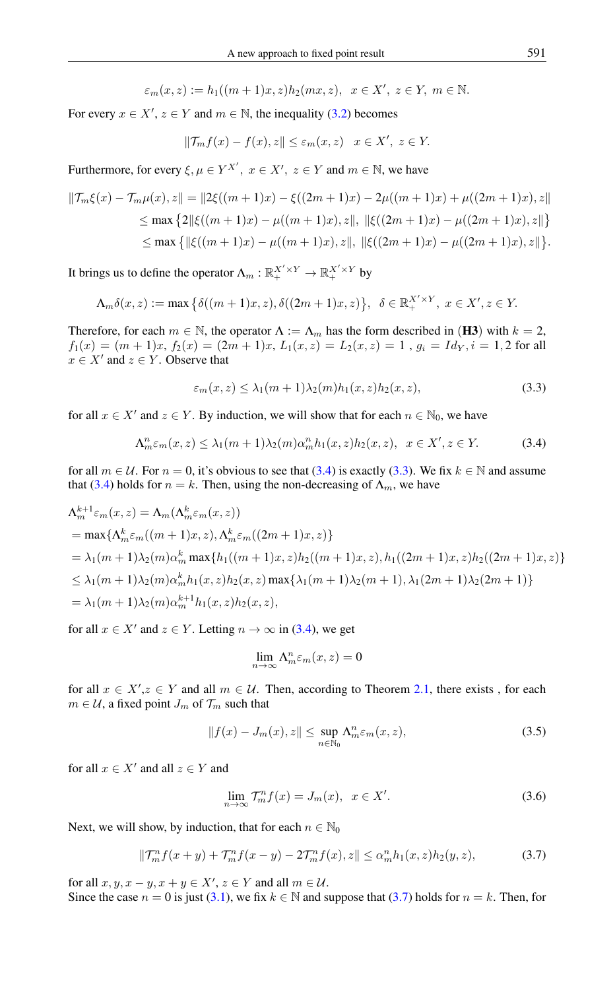$$
\varepsilon_m(x,z) := h_1((m+1)x,z)h_2(mx,z), \quad x \in X', \ z \in Y, \ m \in \mathbb{N}.
$$

For every  $x \in X'$ ,  $z \in Y$  and  $m \in \mathbb{N}$ , the inequality [\(3.2\)](#page-4-1) becomes

$$
\|\mathcal{T}_{m}f(x) - f(x), z\| \le \varepsilon_m(x, z) \quad x \in X', \ z \in Y.
$$

Furthermore, for every  $\xi, \mu \in Y^{X'}$ ,  $x \in X'$ ,  $z \in Y$  and  $m \in \mathbb{N}$ , we have

$$
\begin{aligned} \|\mathcal{T}_m\xi(x) - \mathcal{T}_m\mu(x), z\| &= \|2\xi((m+1)x) - \xi((2m+1)x) - 2\mu((m+1)x) + \mu((2m+1)x), z\| \\ &\leq \max\left\{2\|\xi((m+1)x) - \mu((m+1)x), z\|, \|\xi((2m+1)x) - \mu((2m+1)x), z\|\right\} \\ &\leq \max\left\{\|\xi((m+1)x) - \mu((m+1)x), z\|, \|\xi((2m+1)x) - \mu((2m+1)x), z\|\right\}. \end{aligned}
$$

It brings us to define the operator  $\Lambda_m : \mathbb{R}_+^{X' \times Y} \to \mathbb{R}_+^{X' \times Y}$  by

$$
\Lambda_m \delta(x, z) := \max \left\{ \delta((m+1)x, z), \delta((2m+1)x, z) \right\}, \ \delta \in \mathbb{R}_+^{X' \times Y}, \ x \in X', z \in Y.
$$

Therefore, for each  $m \in \mathbb{N}$ , the operator  $\Lambda := \Lambda_m$  has the form described in (H3) with  $k = 2$ ,  $f_1(x) = (m+1)x$ ,  $f_2(x) = (2m+1)x$ ,  $L_1(x, z) = L_2(x, z) = 1$ ,  $g_i = Id_Y, i = 1, 2$  for all  $x \in X'$  and  $z \in Y$ . Observe that

<span id="page-5-1"></span><span id="page-5-0"></span>
$$
\varepsilon_m(x, z) \le \lambda_1(m+1)\lambda_2(m)h_1(x, z)h_2(x, z),\tag{3.3}
$$

for all  $x \in X'$  and  $z \in Y$ . By induction, we will show that for each  $n \in \mathbb{N}_0$ , we have

$$
\Lambda_m^n \varepsilon_m(x, z) \le \lambda_1(m+1)\lambda_2(m)\alpha_m^n h_1(x, z)h_2(x, z), \quad x \in X', z \in Y. \tag{3.4}
$$

for all  $m \in \mathcal{U}$ . For  $n = 0$ , it's obvious to see that [\(3.4\)](#page-5-0) is exactly [\(3.3\)](#page-5-1). We fix  $k \in \mathbb{N}$  and assume that [\(3.4\)](#page-5-0) holds for  $n = k$ . Then, using the non-decreasing of  $\Lambda_m$ , we have

$$
\Lambda_m^{k+1} \varepsilon_m(x, z) = \Lambda_m(\Lambda_m^k \varepsilon_m(x, z))
$$
  
=  $\max{\Lambda_m^k \varepsilon_m((m+1)x, z), \Lambda_m^k \varepsilon_m((2m+1)x, z)}$   
=  $\lambda_1(m+1)\lambda_2(m)\alpha_m^k \max{\{h_1((m+1)x, z)h_2((m+1)x, z), h_1((2m+1)x, z)h_2((2m+1)x, z)\}}$   
 $\leq \lambda_1(m+1)\lambda_2(m)\alpha_m^k h_1(x, z)h_2(x, z) \max{\lambda_1(m+1)\lambda_2(m+1), \lambda_1(2m+1)\lambda_2(2m+1)}$   
=  $\lambda_1(m+1)\lambda_2(m)\alpha_m^{k+1} h_1(x, z)h_2(x, z),$ 

for all  $x \in X'$  and  $z \in Y$ . Letting  $n \to \infty$  in [\(3.4\)](#page-5-0), we get

$$
\lim_{n \to \infty} \Lambda^n_m \varepsilon_m(x, z) = 0
$$

for all  $x \in X'$ ,  $z \in Y$  and all  $m \in U$ . Then, according to Theorem [2.1,](#page-3-8) there exists, for each  $m \in \mathcal{U}$ , a fixed point  $J_m$  of  $\mathcal{T}_m$  such that

$$
||f(x) - J_m(x), z|| \le \sup_{n \in \mathbb{N}_0} \Lambda_m^n \varepsilon_m(x, z), \tag{3.5}
$$

for all  $x \in X'$  and all  $z \in Y$  and

<span id="page-5-2"></span>
$$
\lim_{n \to \infty} \mathcal{T}_m^n f(x) = J_m(x), \ \ x \in X'. \tag{3.6}
$$

Next, we will show, by induction, that for each  $n \in \mathbb{N}_0$ 

$$
\|\mathcal{T}_{m}^{n} f(x+y) + \mathcal{T}_{m}^{n} f(x-y) - 2\mathcal{T}_{m}^{n} f(x), z\| \leq \alpha_{m}^{n} h_{1}(x, z) h_{2}(y, z), \tag{3.7}
$$

for all  $x, y, x - y, x + y \in X', z \in Y$  and all  $m \in \mathcal{U}$ .

Since the case  $n = 0$  is just [\(3.1\)](#page-4-0), we fix  $k \in \mathbb{N}$  and suppose that [\(3.7\)](#page-5-2) holds for  $n = k$ . Then, for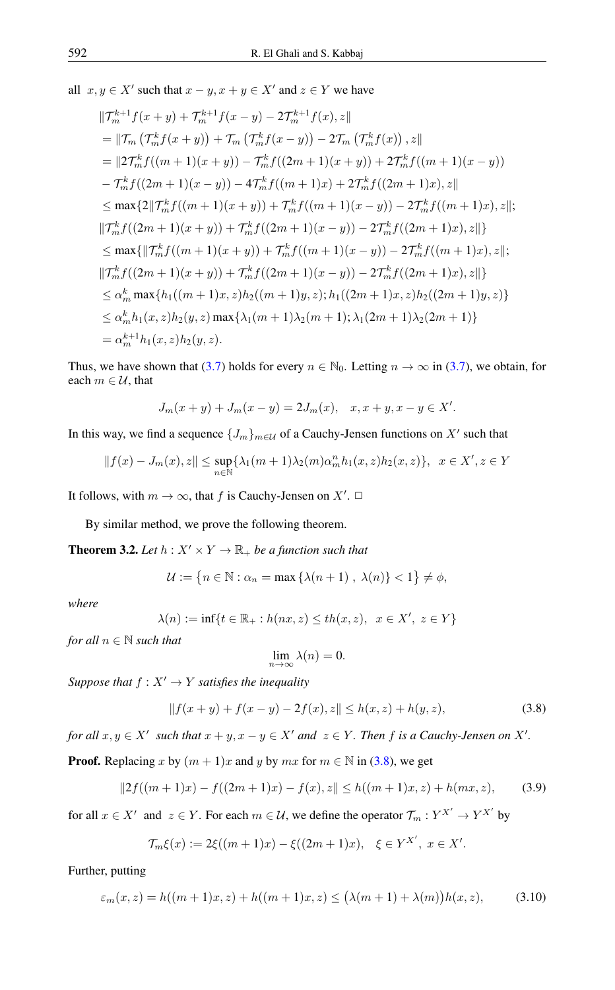all  $x, y \in X'$  such that  $x - y, x + y \in X'$  and  $z \in Y$  we have

$$
\|\mathcal{T}_{m}^{k+1}f(x+y)+\mathcal{T}_{m}^{k+1}f(x-y)-2\mathcal{T}_{m}^{k+1}f(x),z\|
$$
  
\n
$$
=\|\mathcal{T}_{m}\left(\mathcal{T}_{m}^{k}f(x+y)\right)+\mathcal{T}_{m}\left(\mathcal{T}_{m}^{k}f(x-y)\right)-2\mathcal{T}_{m}\left(\mathcal{T}_{m}^{k}f(x)\right),z\|
$$
  
\n
$$
=\|2\mathcal{T}_{m}^{k}f((m+1)(x+y))-\mathcal{T}_{m}^{k}f((2m+1)(x+y))+2\mathcal{T}_{m}^{k}f((m+1)(x-y))
$$
  
\n
$$
-\mathcal{T}_{m}^{k}f((2m+1)(x-y))-4\mathcal{T}_{m}^{k}f((m+1)x)+2\mathcal{T}_{m}^{k}f((2m+1)x),z\|
$$
  
\n
$$
\leq \max\{2\|\mathcal{T}_{m}^{k}f((m+1)(x+y))+\mathcal{T}_{m}^{k}f((m+1)(x-y))-2\mathcal{T}_{m}^{k}f((m+1)x),z\|;
$$
  
\n
$$
\|\mathcal{T}_{m}^{k}f((2m+1)(x+y))+\mathcal{T}_{m}^{k}f((2m+1)(x-y))-2\mathcal{T}_{m}^{k}f((2m+1)x),z\|;
$$
  
\n
$$
\leq \max\{\|\mathcal{T}_{m}^{k}f((m+1)(x+y))+\mathcal{T}_{m}^{k}f((m+1)(x-y))-2\mathcal{T}_{m}^{k}f((m+1)x),z\|;
$$
  
\n
$$
\|\mathcal{T}_{m}^{k}f((2m+1)(x+y))+\mathcal{T}_{m}^{k}f((2m+1)(x-y))-2\mathcal{T}_{m}^{k}f((2m+1)x),z\|;
$$
  
\n
$$
\leq \alpha_{m}^{k}\max\{h_{1}((m+1)x,z)h_{2}((m+1)y,z);h_{1}((2m+1)x,z)h_{2}((2m+1)y,z)\}
$$
  
\n
$$
\leq \alpha_{m}^{k}h_{1}(x,z)h_{2}(y,z)\max\{\lambda_{1}(m+1)\lambda_{2}(m+1); \lambda_{1}(2m+1)\lambda_{2}(2m+1)\}
$$
  
\n
$$
= \alpha_{m}^{k+1}h_{
$$

Thus, we have shown that [\(3.7\)](#page-5-2) holds for every  $n \in \mathbb{N}_0$ . Letting  $n \to \infty$  in (3.7), we obtain, for each  $m \in \mathcal{U}$ , that

$$
J_m(x + y) + J_m(x - y) = 2J_m(x), \quad x, x + y, x - y \in X'.
$$

In this way, we find a sequence  $\{J_m\}_{m\in\mathcal{U}}$  of a Cauchy-Jensen functions on  $X'$  such that

$$
||f(x) - J_m(x), z|| \le \sup_{n \in \mathbb{N}} \{ \lambda_1(m+1)\lambda_2(m)\alpha_m^n h_1(x, z)h_2(x, z) \}, \ \ x \in X', z \in Y
$$

It follows, with  $m \to \infty$ , that f is Cauchy-Jensen on  $X'$ .  $\Box$ 

By similar method, we prove the following theorem.

<span id="page-6-3"></span>**Theorem 3.2.** Let  $h: X' \times Y \to \mathbb{R}_+$  be a function such that

$$
\mathcal{U} := \{ n \in \mathbb{N} : \alpha_n = \max \{ \lambda(n+1) , \lambda(n) \} < 1 \} \neq \emptyset,
$$

*where*

$$
\lambda(n):=\inf\{t\in\mathbb{R}_+: h(nx,z)\leq th(x,z),\;\;x\in X',\;z\in Y\}
$$

*for all*  $n \in \mathbb{N}$  *such that* 

<span id="page-6-1"></span><span id="page-6-0"></span>
$$
\lim_{n \to \infty} \lambda(n) = 0.
$$

*Suppose that*  $f : X' \to Y$  *satisfies the inequality* 

$$
|| f(x + y) + f(x - y) - 2f(x), z|| \le h(x, z) + h(y, z),
$$
\n(3.8)

*for all*  $x, y \in X'$  such that  $x + y, x - y \in X'$  and  $z \in Y$ . Then f is a Cauchy-Jensen on X'.

**Proof.** Replacing x by  $(m + 1)x$  and y by  $mx$  for  $m \in \mathbb{N}$  in [\(3.8\)](#page-6-0), we get

$$
||2f((m+1)x) - f((2m+1)x) - f(x), z|| \le h((m+1)x, z) + h(mx, z), \tag{3.9}
$$

for all  $x \in X'$  and  $z \in Y$ . For each  $m \in \mathcal{U}$ , we define the operator  $\mathcal{T}_m : Y^{X'} \to Y^{X'}$  by

<span id="page-6-2"></span>
$$
\mathcal{T}_{m}\xi(x) := 2\xi((m+1)x) - \xi((2m+1)x), \quad \xi \in Y^{X'}, \ x \in X'.
$$

Further, putting

$$
\varepsilon_m(x, z) = h((m+1)x, z) + h((m+1)x, z) \le (\lambda(m+1) + \lambda(m))h(x, z),
$$
 (3.10)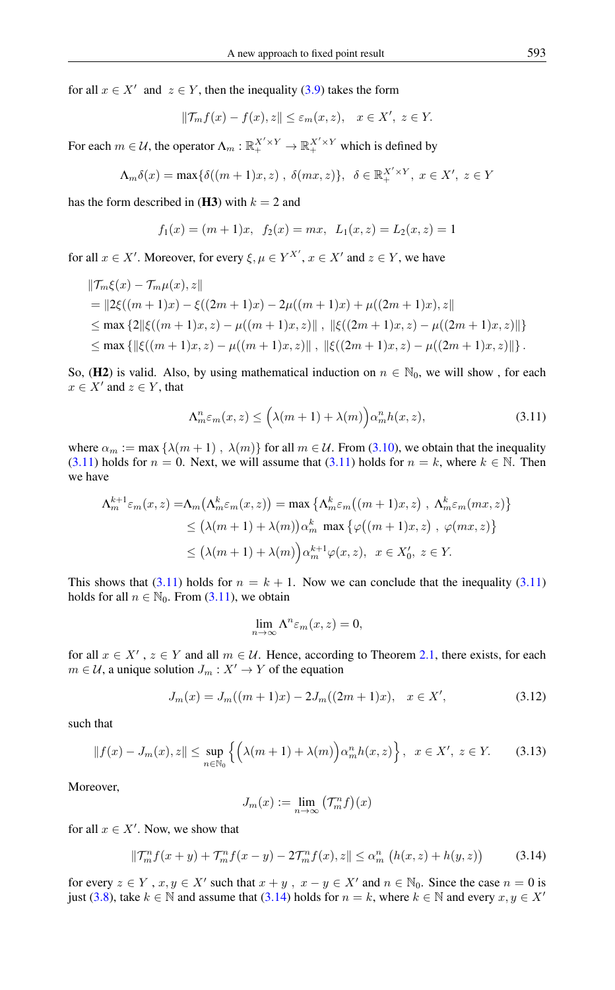for all  $x \in X'$  and  $z \in Y$ , then the inequality [\(3.9\)](#page-6-1) takes the form

$$
||\mathcal{T}_{m}f(x) - f(x), z|| \leq \varepsilon_{m}(x, z), \quad x \in X', \ z \in Y.
$$

For each  $m \in \mathcal{U}$ , the operator  $\Lambda_m : \mathbb{R}_+^{X' \times Y} \to \mathbb{R}_+^{X' \times Y}$  which is defined by

$$
\Lambda_m \delta(x) = \max \{ \delta((m+1)x, z) , \delta(mx, z) \}, \delta \in \mathbb{R}_+^{X' \times Y}, x \in X', z \in Y
$$

has the form described in (H3) with  $k = 2$  and

$$
f_1(x) = (m+1)x
$$
,  $f_2(x) = mx$ ,  $L_1(x, z) = L_2(x, z) = 1$ 

for all  $x \in X'$ . Moreover, for every  $\xi, \mu \in Y^{X'}$ ,  $x \in X'$  and  $z \in Y$ , we have

$$
\|\mathcal{T}_m\xi(x) - \mathcal{T}_m\mu(x), z\|
$$
  
=  $||2\xi((m+1)x) - \xi((2m+1)x) - 2\mu((m+1)x) + \mu((2m+1)x), z||$   
 $\leq \max \{2||\xi((m+1)x, z) - \mu((m+1)x, z)||, ||\xi((2m+1)x, z) - \mu((2m+1)x, z)||\}$   
 $\leq \max \{||\xi((m+1)x, z) - \mu((m+1)x, z)||, ||\xi((2m+1)x, z) - \mu((2m+1)x, z)||\}.$ 

So, (H2) is valid. Also, by using mathematical induction on  $n \in \mathbb{N}_0$ , we will show, for each  $x \in X'$  and  $z \in Y$ , that

<span id="page-7-0"></span>
$$
\Lambda^n_m \varepsilon_m(x, z) \le \left(\lambda(m+1) + \lambda(m)\right) \alpha^n_m h(x, z),\tag{3.11}
$$

where  $\alpha_m := \max \{ \lambda(m+1), \lambda(m) \}$  for all  $m \in \mathcal{U}$ . From [\(3.10\)](#page-6-2), we obtain that the inequality [\(3.11\)](#page-7-0) holds for  $n = 0$ . Next, we will assume that (3.11) holds for  $n = k$ , where  $k \in \mathbb{N}$ . Then we have

$$
\Lambda_m^{k+1} \varepsilon_m(x, z) = \Lambda_m(\Lambda_m^k \varepsilon_m(x, z)) = \max \left\{ \Lambda_m^k \varepsilon_m((m+1)x, z) , \Lambda_m^k \varepsilon_m(mx, z) \right\}
$$
  
\n
$$
\leq (\lambda(m+1) + \lambda(m)) \alpha_m^k \max \left\{ \varphi((m+1)x, z) , \varphi(mx, z) \right\}
$$
  
\n
$$
\leq (\lambda(m+1) + \lambda(m)) \alpha_m^{k+1} \varphi(x, z), \quad x \in X_0', \ z \in Y.
$$

This shows that [\(3.11\)](#page-7-0) holds for  $n = k + 1$ . Now we can conclude that the inequality (3.11) holds for all  $n \in \mathbb{N}_0$ . From [\(3.11\)](#page-7-0), we obtain

$$
\lim_{n \to \infty} \Lambda^n \varepsilon_m(x, z) = 0,
$$

for all  $x \in X'$ ,  $z \in Y$  and all  $m \in U$ . Hence, according to Theorem [2.1,](#page-3-8) there exists, for each  $m \in \mathcal{U}$ , a unique solution  $J_m : X' \to Y$  of the equation

$$
J_m(x) = J_m((m+1)x) - 2J_m((2m+1)x), \quad x \in X', \tag{3.12}
$$

such that

$$
||f(x) - J_m(x), z|| \le \sup_{n \in \mathbb{N}_0} \left\{ \left( \lambda(m+1) + \lambda(m) \right) \alpha_m^n h(x, z) \right\}, \quad x \in X', \ z \in Y. \tag{3.13}
$$

Moreover,

<span id="page-7-1"></span>
$$
J_m(x) := \lim_{n \to \infty} \left( \mathcal{T}_m^n f \right)(x)
$$

for all  $x \in X'$ . Now, we show that

$$
\|\mathcal{T}_{m}^{n} f(x+y) + \mathcal{T}_{m}^{n} f(x-y) - 2\mathcal{T}_{m}^{n} f(x), z\| \leq \alpha_{m}^{n} \left( h(x, z) + h(y, z) \right) \tag{3.14}
$$

for every  $z \in Y$ ,  $x, y \in X'$  such that  $x + y$ ,  $x - y \in X'$  and  $n \in \mathbb{N}_0$ . Since the case  $n = 0$  is just [\(3.8\)](#page-6-0), take  $k \in \mathbb{N}$  and assume that [\(3.14\)](#page-7-1) holds for  $n = k$ , where  $k \in \mathbb{N}$  and every  $x, y \in X'$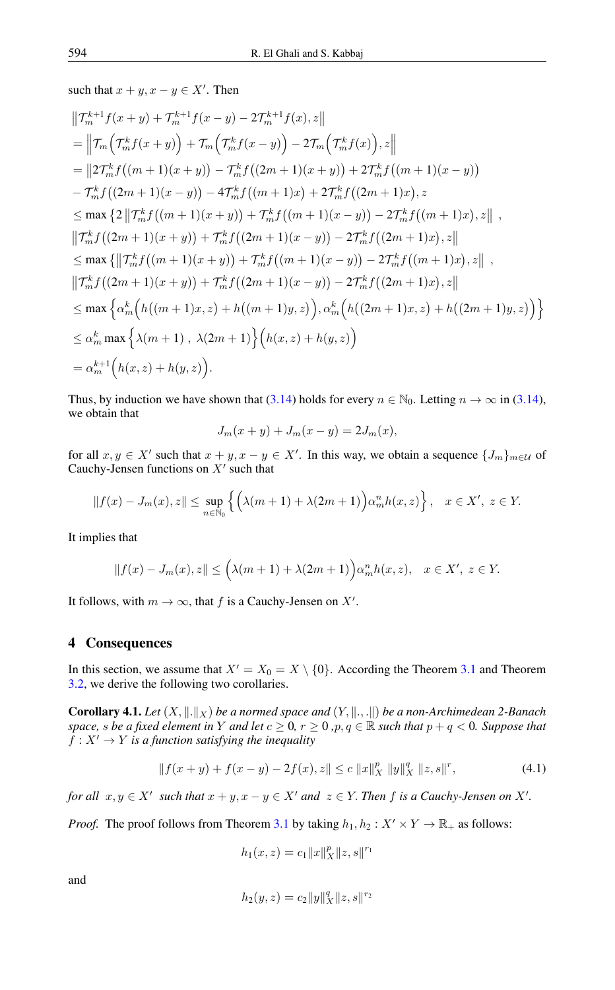such that  $x + y$ ,  $x - y \in X'$ . Then

$$
\begin{split}\n&\|\mathcal{T}_{m}^{k+1}f(x+y)+\mathcal{T}_{m}^{k+1}f(x-y)-2\mathcal{T}_{m}^{k+1}f(x),z\| \\
&= \left\|\mathcal{T}_{m}\left(\mathcal{T}_{m}^{k}f(x+y)\right)+\mathcal{T}_{m}\left(\mathcal{T}_{m}^{k}f(x-y)\right)-2\mathcal{T}_{m}\left(\mathcal{T}_{m}^{k}f(x)\right),z\right\| \\
&= \left\|\left(2\mathcal{T}_{m}^{k}f\left((m+1)(x+y)\right)-\mathcal{T}_{m}^{k}f\left((2m+1)(x+y)\right)+2\mathcal{T}_{m}^{k}f\left((m+1)(x-y)\right) \\
&-\mathcal{T}_{m}^{k}f\left((2m+1)(x-y)\right)-4\mathcal{T}_{m}^{k}f\left((m+1)x\right)+2\mathcal{T}_{m}^{k}f\left((2m+1)x\right),z \\
&\leq \max\left\{2\left\|\mathcal{T}_{m}^{k}f\left((m+1)(x+y)\right)+\mathcal{T}_{m}^{k}f\left((m+1)(x-y)\right)-2\mathcal{T}_{m}^{k}f\left((m+1)x\right),z\right\|,\\ \left\|\mathcal{T}_{m}^{k}f\left((2m+1)(x+y)\right)+\mathcal{T}_{m}^{k}f\left((2m+1)(x-y)\right)-2\mathcal{T}_{m}^{k}f\left((2m+1)x\right),z\right\| \\
&\leq \max\left\{\left\|\mathcal{T}_{m}^{k}f\left((m+1)(x+y)\right)+\mathcal{T}_{m}^{k}f\left((m+1)(x-y)\right)-2\mathcal{T}_{m}^{k}f\left((m+1)x\right),z\right\|,\\ \left\|\mathcal{T}_{m}^{k}f\left((2m+1)(x+y)\right)+\mathcal{T}_{m}^{k}f\left((2m+1)(x-y)\right)-2\mathcal{T}_{m}^{k}f\left((2m+1)x\right),z\right\| \\
&\leq \max\left\{\alpha_{m}^{k}\left(h\left((m+1)x,z\right)+h\left((m+1)y,z\right)\right),\alpha_{m}^{k}\left(h\left((2m+1)x,z\right)+h\left((2m+1)y,z\right)\right)\right\} \\
&\leq \alpha_{m}^{k} \max\left\{\lambda(m+1),\lambda(2m+1)\right\}\left(h(x,z)+h(y,z)\
$$

Thus, by induction we have shown that [\(3.14\)](#page-7-1) holds for every  $n \in \mathbb{N}_0$ . Letting  $n \to \infty$  in (3.14), we obtain that

$$
J_m(x + y) + J_m(x - y) = 2J_m(x),
$$

for all  $x, y \in X'$  such that  $x + y, x - y \in X'$ . In this way, we obtain a sequence  $\{J_m\}_{m \in \mathcal{U}}$  of Cauchy-Jensen functions on  $X'$  such that

$$
||f(x) - J_m(x), z|| \le \sup_{n \in \mathbb{N}_0} \left\{ \left( \lambda(m+1) + \lambda(2m+1) \right) \alpha_m^n h(x, z) \right\}, \quad x \in X', \ z \in Y.
$$

It implies that

$$
||f(x) - J_m(x), z|| \leq (\lambda(m+1) + \lambda(2m+1))\alpha_m^n h(x, z), \quad x \in X', \ z \in Y.
$$

It follows, with  $m \to \infty$ , that f is a Cauchy-Jensen on X'.

#### 4 Consequences

In this section, we assume that  $X' = X_0 = X \setminus \{0\}$ . According the Theorem [3.1](#page-4-2) and Theorem [3.2,](#page-6-3) we derive the following two corollaries.

<span id="page-8-1"></span>**Corollary 4.1.** *Let*  $(X, \|\cdot\|_X)$  *be a normed space and*  $(Y, \|\cdot\|_X)$  *be a non-Archimedean 2-Banach space, s be a fixed element in Y and let*  $c \ge 0$ *,*  $r \ge 0$ *,p*, $q \in \mathbb{R}$  *such that*  $p + q < 0$ *. Suppose that*  $f: X' \to Y$  *is a function satisfying the inequality* 

$$
|| f(x+y) + f(x-y) - 2f(x), z|| \le c ||x||_X^p ||y||_X^q ||z, s||^r,
$$
\n(4.1)

*for all*  $x, y \in X'$  *such that*  $x + y, x - y \in X'$  *and*  $z \in Y$ *. Then f is a Cauchy-Jensen on* X'*.* 

*Proof.* The proof follows from Theorem [3.1](#page-4-2) by taking  $h_1, h_2 : X' \times Y \to \mathbb{R}_+$  as follows:

<span id="page-8-0"></span>
$$
h_1(x, z) = c_1 ||x||_X^p ||z, s||^{r_1}
$$

and

$$
h_2(y,z)=c_2\|y\|_X^q\|z,s\|^{r_2}
$$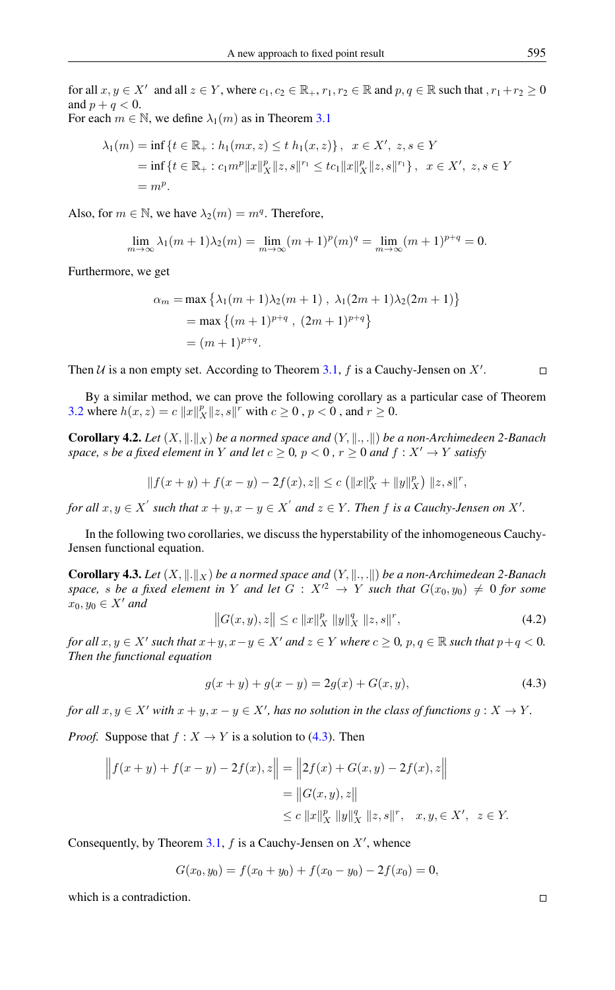for all  $x, y \in X'$  and all  $z \in Y$ , where  $c_1, c_2 \in \mathbb{R}_+$ ,  $r_1, r_2 \in \mathbb{R}$  and  $p, q \in \mathbb{R}$  such that  $r_1+r_2 \geq 0$ and  $p + q < 0$ .

For each 
$$
m \in \mathbb{N}
$$
, we define  $\lambda_1(m)$  as in Theorem 3.1

$$
\lambda_1(m) = \inf \{ t \in \mathbb{R}_+ : h_1(mx, z) \le t \ h_1(x, z) \}, \ x \in X', \ z, s \in Y
$$
  
= 
$$
\inf \{ t \in \mathbb{R}_+ : c_1 m^p ||x||_X^p ||z, s||^{r_1} \le tc_1 ||x||_X^p ||z, s||^{r_1} \}, \ x \in X', \ z, s \in Y
$$
  
= 
$$
m^p.
$$

Also, for  $m \in \mathbb{N}$ , we have  $\lambda_2(m) = m^q$ . Therefore,

$$
\lim_{m \to \infty} \lambda_1(m+1)\lambda_2(m) = \lim_{m \to \infty} (m+1)^p(m)^q = \lim_{m \to \infty} (m+1)^{p+q} = 0.
$$

Furthermore, we get

$$
\alpha_m = \max \left\{ \lambda_1(m+1)\lambda_2(m+1) , \lambda_1(2m+1)\lambda_2(2m+1) \right\}
$$
  
= max  $\{(m+1)^{p+q}, (2m+1)^{p+q}\}$   
=  $(m+1)^{p+q}$ .

Then  $U$  is a non empty set. According to Theorem [3.1,](#page-4-2) f is a Cauchy-Jensen on  $X'$ .

By a similar method, we can prove the following corollary as a particular case of Theorem [3.2](#page-6-3) where  $h(x, z) = c \|x\|_X^p \|z, s\|^r$  with  $c \ge 0$  ,  $p < 0$  , and  $r \ge 0$ .

**Corollary 4.2.** *Let*  $(X, \|.\|_X)$  *be a normed space and*  $(Y, \|., . \|)$  *be a non-Archimedeen 2-Banach space, s be a fixed element in Y and let*  $c \geq 0$ *,*  $p < 0$ *,*  $r \geq 0$  *and*  $f : X' \rightarrow Y$  *satisfy* 

$$
|| f(x + y) + f(x - y) - 2f(x), z|| \le c (||x||_X^p + ||y||_X^p) ||z, s||^r,
$$

*for all*  $x, y \in X'$  such that  $x + y, x - y \in X'$  and  $z \in Y$  . Then  $f$  is a Cauchy-Jensen on  $X'$ .

In the following two corollaries, we discuss the hyperstability of the inhomogeneous Cauchy-Jensen functional equation.

**Corollary 4.3.** *Let*  $(X, \|\cdot\|_X)$  *be a normed space and*  $(Y, \|\cdot\|_X)$  *be a non-Archimedean 2-Banach space, s be a fixed element in* Y *and let*  $G: X'^2 \rightarrow Y$  *such that*  $G(x_0, y_0) \neq 0$  *for some*  $x_0, y_0 \in X'$  and

<span id="page-9-0"></span>
$$
||G(x,y),z|| \le c ||x||_X^p ||y||_X^q ||z,s||^r,
$$
\n(4.2)

*for all*  $x, y \in X'$  *such that*  $x+y, x-y \in X'$  *and*  $z \in Y$  *where*  $c \ge 0$ ,  $p, q \in \mathbb{R}$  *such that*  $p+q < 0$ *. Then the functional equation*

$$
g(x + y) + g(x - y) = 2g(x) + G(x, y),
$$
\n(4.3)

*for all*  $x, y \in X'$  *with*  $x + y, x - y \in X'$ *, has no solution in the class of functions*  $g: X \to Y$ *.* 

*Proof.* Suppose that  $f : X \to Y$  is a solution to [\(4.3\)](#page-9-0). Then

$$
|| f(x + y) + f(x - y) - 2f(x), z|| = ||2f(x) + G(x, y) - 2f(x), z||
$$
  
= ||G(x, y), z||  

$$
\leq c ||x||_X^p ||y||_X^q ||z, s||^r, \quad x, y, \in X', \quad z \in Y.
$$

Consequently, by Theorem [3.1,](#page-4-2)  $f$  is a Cauchy-Jensen on  $X'$ , whence

 $G(x_0, y_0) = f(x_0 + y_0) + f(x_0 - y_0) - 2f(x_0) = 0,$ 

which is a contradiction.

 $\Box$ 

 $\Box$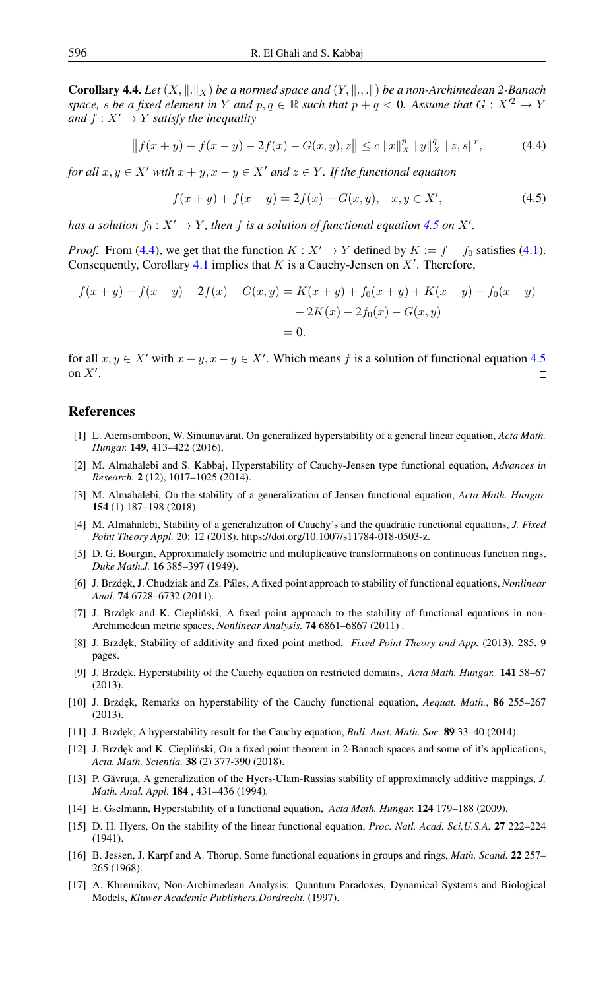**Corollary 4.4.** Let  $(X, \|\cdot\|_X)$  be a normed space and  $(Y, \|\cdot\|_X)$  be a non-Archimedean 2-Banach *space, s be a fixed element in Y and*  $p, q \in \mathbb{R}$  *such that*  $p + q < 0$ *. Assume that*  $G: X'^2 \to Y$ *and*  $f: X' \to Y$  *satisfy the inequality* 

$$
|| f(x + y) + f(x - y) - 2f(x) - G(x, y), z|| \le c ||x||_X^p ||y||_X^q ||z, s||^r,
$$
 (4.4)

*for all*  $x, y \in X'$  *with*  $x + y, x - y \in X'$  *and*  $z \in Y$ *. If the functional equation* 

<span id="page-10-16"></span><span id="page-10-15"></span>
$$
f(x+y) + f(x-y) = 2f(x) + G(x, y), \quad x, y \in X',
$$
\n(4.5)

*has a solution*  $f_0: X' \to Y$ *, then*  $f$  *is a solution of functional equation* [4.5](#page-10-15) *on*  $X'$ *.* 

*Proof.* From [\(4.4\)](#page-10-16), we get that the function  $K : X' \to Y$  defined by  $K := f - f_0$  satisfies [\(4.1\)](#page-8-0). Consequently, Corollary [4.1](#page-8-1) implies that  $K$  is a Cauchy-Jensen on  $X'$ . Therefore,

$$
f(x + y) + f(x - y) - 2f(x) - G(x, y) = K(x + y) + f_0(x + y) + K(x - y) + f_0(x - y)
$$
  
- 2K(x) - 2f<sub>0</sub>(x) - G(x, y)  
= 0.

for all  $x, y \in X'$  with  $x + y, x - y \in X'$ . Which means f is a solution of functional equation [4.5](#page-10-15) on  $X'$ .  $\Box$ 

## <span id="page-10-0"></span>References

- <span id="page-10-13"></span>[1] L. Aiemsomboon, W. Sintunavarat, On generalized hyperstability of a general linear equation, *Acta Math. Hungar.* 149, 413–422 (2016),
- <span id="page-10-4"></span>[2] M. Almahalebi and S. Kabbaj, Hyperstability of Cauchy-Jensen type functional equation, *Advances in Research.* 2 (12), 1017–1025 (2014).
- [3] M. Almahalebi, On the stability of a generalization of Jensen functional equation, *Acta Math. Hungar.* 154 (1) 187–198 (2018).
- <span id="page-10-14"></span>[4] M. Almahalebi, Stability of a generalization of Cauchy's and the quadratic functional equations, *J. Fixed Point Theory Appl.* 20: 12 (2018), https://doi.org/10.1007/s11784-018-0503-z.
- <span id="page-10-7"></span>[5] D. G. Bourgin, Approximately isometric and multiplicative transformations on continuous function rings, *Duke Math.J.* 16 385–397 (1949).
- <span id="page-10-5"></span>[6] J. Brzdęk, J. Chudziak and Zs. Páles, A fixed point approach to stability of functional equations, *Nonlinear Anal.* 74 6728–6732 (2011).
- <span id="page-10-1"></span>[7] J. Brzdęk and K. Ciepliński, A fixed point approach to the stability of functional equations in non-Archimedean metric spaces, *Nonlinear Analysis.* 74 6861–6867 (2011) .
- <span id="page-10-6"></span>[8] J. Brzdęk, Stability of additivity and fixed point method, *Fixed Point Theory and App.* (2013), 285, 9 pages.
- <span id="page-10-8"></span>[9] J. Brzdęk, Hyperstability of the Cauchy equation on restricted domains, *Acta Math. Hungar.* 141 58–67 (2013).
- <span id="page-10-9"></span>[10] J. Brzdęk, Remarks on hyperstability of the Cauchy functional equation, *Aequat. Math.*, **86** 255–267 (2013).
- [11] J. Brzdęk, A hyperstability result for the Cauchy equation, *Bull. Aust. Math. Soc.* 89 33–40 (2014).
- <span id="page-10-12"></span>[12] J. Brzdek and K. Ciepliński, On a fixed point theorem in 2-Banach spaces and some of it's applications, *Acta. Math. Scientia.* 38 (2) 377-390 (2018).
- <span id="page-10-3"></span>[13] P. Găvruța, A generalization of the Hyers-Ulam-Rassias stability of approximately additive mappings, *J. Math. Anal. Appl.* 184 , 431–436 (1994).
- <span id="page-10-10"></span>[14] E. Gselmann, Hyperstability of a functional equation, *Acta Math. Hungar.* 124 179–188 (2009).
- <span id="page-10-2"></span>[15] D. H. Hyers, On the stability of the linear functional equation, *Proc. Natl. Acad. Sci.U.S.A.* 27 222–224 (1941).
- [16] B. Jessen, J. Karpf and A. Thorup, Some functional equations in groups and rings, *Math. Scand.* 22 257– 265 (1968).
- <span id="page-10-11"></span>[17] A. Khrennikov, Non-Archimedean Analysis: Quantum Paradoxes, Dynamical Systems and Biological Models, *Kluwer Academic Publishers,Dordrecht.* (1997).